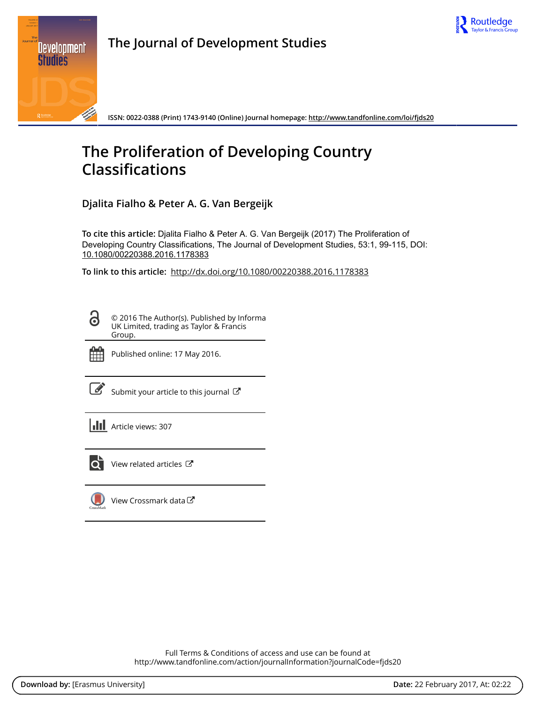



**The Journal of Development Studies**

**ISSN: 0022-0388 (Print) 1743-9140 (Online) Journal homepage:<http://www.tandfonline.com/loi/fjds20>**

# **The Proliferation of Developing Country Classifications**

**Djalita Fialho & Peter A. G. Van Bergeijk**

**To cite this article:** Djalita Fialho & Peter A. G. Van Bergeijk (2017) The Proliferation of Developing Country Classifications, The Journal of Development Studies, 53:1, 99-115, DOI: [10.1080/00220388.2016.1178383](http://www.tandfonline.com/action/showCitFormats?doi=10.1080/00220388.2016.1178383)

**To link to this article:** <http://dx.doi.org/10.1080/00220388.2016.1178383>

© 2016 The Author(s). Published by Informa UK Limited, trading as Taylor & Francis Group.



<u>යි</u>

Published online: 17 May 2016.

[Submit your article to this journal](http://www.tandfonline.com/action/authorSubmission?journalCode=fjds20&show=instructions)  $\mathbb{Z}$ 





[View related articles](http://www.tandfonline.com/doi/mlt/10.1080/00220388.2016.1178383)  $\mathbb{Z}$ 

[View Crossmark data](http://crossmark.crossref.org/dialog/?doi=10.1080/00220388.2016.1178383&domain=pdf&date_stamp=2016-05-17)

Full Terms & Conditions of access and use can be found at <http://www.tandfonline.com/action/journalInformation?journalCode=fjds20>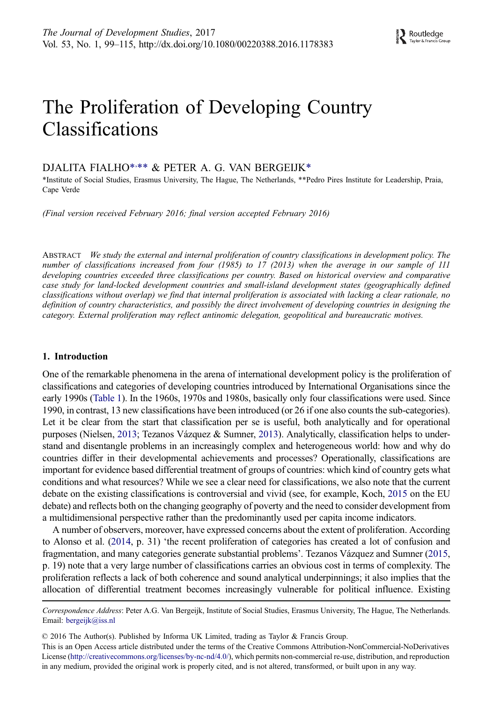# <span id="page-1-0"></span>The Proliferation of Developing Country Classifications

# DJALITA FIALHO\*<sup>\*\*</sup> & PETER A. G. VAN BERGEIJK<sup>\*</sup>

\*Institute of Social Studies, Erasmus University, The Hague, The Netherlands, \*\*Pedro Pires Institute for Leadership, Praia, Cape Verde

(Final version received February 2016; final version accepted February 2016)

ABSTRACT We study the external and internal proliferation of country classifications in development policy. The number of classifications increased from four (1985) to 17 (2013) when the average in our sample of 111 developing countries exceeded three classifications per country. Based on historical overview and comparative case study for land-locked development countries and small-island development states (geographically defined classifications without overlap) we find that internal proliferation is associated with lacking a clear rationale, no definition of country characteristics, and possibly the direct involvement of developing countries in designing the category. External proliferation may reflect antinomic delegation, geopolitical and bureaucratic motives.

#### 1. Introduction

One of the remarkable phenomena in the arena of international development policy is the proliferation of classifications and categories of developing countries introduced by International Organisations since the early 1990s [\(Table 1\)](#page-2-0). In the 1960s, 1970s and 1980s, basically only four classifications were used. Since 1990, in contrast, 13 new classifications have been introduced (or 26 if one also counts the sub-categories). Let it be clear from the start that classification per se is useful, both analytically and for operational purposes (Nielsen, [2013](#page-16-0); Tezanos Vázquez & Sumner, [2013](#page-16-0)). Analytically, classification helps to understand and disentangle problems in an increasingly complex and heterogeneous world: how and why do countries differ in their developmental achievements and processes? Operationally, classifications are important for evidence based differential treatment of groups of countries: which kind of country gets what conditions and what resources? While we see a clear need for classifications, we also note that the current debate on the existing classifications is controversial and vivid (see, for example, Koch, [2015](#page-16-0) on the EU debate) and reflects both on the changing geography of poverty and the need to consider development from a multidimensional perspective rather than the predominantly used per capita income indicators.

A number of observers, moreover, have expressed concerns about the extent of proliferation. According to Alonso et al. [\(2014,](#page-15-0) p. 31) 'the recent proliferation of categories has created a lot of confusion and fragmentation, and many categories generate substantial problems'. Tezanos Vázquez and Sumner ([2015](#page-16-0), p. 19) note that a very large number of classifications carries an obvious cost in terms of complexity. The proliferation reflects a lack of both coherence and sound analytical underpinnings; it also implies that the allocation of differential treatment becomes increasingly vulnerable for political influence. Existing

Correspondence Address: Peter A.G. Van Bergeijk, Institute of Social Studies, Erasmus University, The Hague, The Netherlands. Email: bergeijk@iss.nl

<sup>© 2016</sup> The Author(s). Published by Informa UK Limited, trading as Taylor & Francis Group.

This is an Open Access article distributed under the terms of the Creative Commons Attribution-NonCommercial-NoDerivatives License (http://creativecommons.org/licenses/by-nc-nd/4.0/), which permits non-commercial re-use, distribution, and reproduction in any medium, provided the original work is properly cited, and is not altered, transformed, or built upon in any way.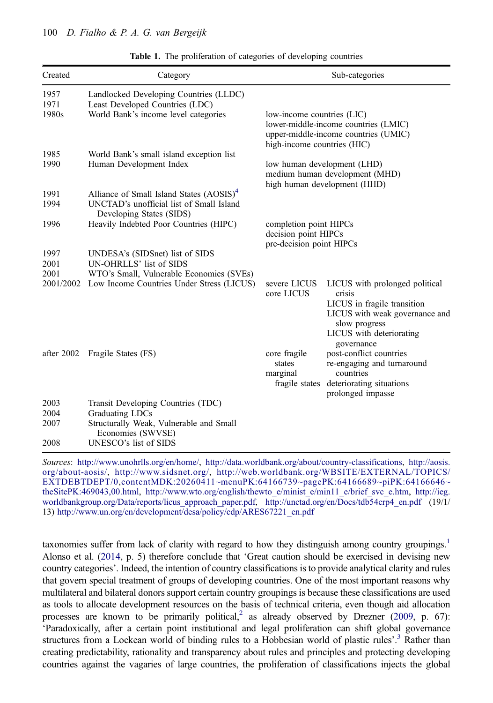<span id="page-2-0"></span>

| Created               | Category                                                                                                            |                                                                            | Sub-categories                                                                                                                                                       |  |  |
|-----------------------|---------------------------------------------------------------------------------------------------------------------|----------------------------------------------------------------------------|----------------------------------------------------------------------------------------------------------------------------------------------------------------------|--|--|
| 1957<br>1971<br>1980s | Landlocked Developing Countries (LLDC)<br>Least Developed Countries (LDC)<br>World Bank's income level categories   | low-income countries (LIC)<br>high-income countries (HIC)                  | lower-middle-income countries (LMIC)<br>upper-middle-income countries (UMIC)                                                                                         |  |  |
| 1985<br>1990          | World Bank's small island exception list<br>Human Development Index                                                 |                                                                            | low human development (LHD)<br>medium human development (MHD)                                                                                                        |  |  |
| 1991<br>1994          | Alliance of Small Island States $(AOSIS)^4$<br>UNCTAD's unofficial list of Small Island<br>Developing States (SIDS) |                                                                            | high human development (HHD)                                                                                                                                         |  |  |
| 1996                  | Heavily Indebted Poor Countries (HIPC)                                                                              | completion point HIPCs<br>decision point HIPCs<br>pre-decision point HIPCs |                                                                                                                                                                      |  |  |
| 1997<br>2001<br>2001  | UNDESA's (SIDSnet) list of SIDS<br>UN-OHRLLS' list of SIDS<br>WTO's Small, Vulnerable Economies (SVEs)              |                                                                            |                                                                                                                                                                      |  |  |
| 2001/2002             | Low Income Countries Under Stress (LICUS)                                                                           | severe LICUS<br>core LICUS                                                 | LICUS with prolonged political<br>crisis<br>LICUS in fragile transition<br>LICUS with weak governance and<br>slow progress<br>LICUS with deteriorating<br>governance |  |  |
| after 2002            | Fragile States (FS)                                                                                                 | core fragile<br>states<br>marginal<br>fragile states                       | post-conflict countries<br>re-engaging and turnaround<br>countries<br>deteriorating situations<br>prolonged impasse                                                  |  |  |
| 2003                  | Transit Developing Countries (TDC)                                                                                  |                                                                            |                                                                                                                                                                      |  |  |
| 2004                  | Graduating LDCs                                                                                                     |                                                                            |                                                                                                                                                                      |  |  |
| 2007                  | Structurally Weak, Vulnerable and Small<br>Economies (SWVSE)                                                        |                                                                            |                                                                                                                                                                      |  |  |
| 2008                  | UNESCO's list of SIDS                                                                                               |                                                                            |                                                                                                                                                                      |  |  |

|  |  | Table 1. The proliferation of categories of developing countries |  |  |  |  |  |  |
|--|--|------------------------------------------------------------------|--|--|--|--|--|--|
|--|--|------------------------------------------------------------------|--|--|--|--|--|--|

Sources: <http://www.unohrlls.org/en/home/>, [http://data.worldbank.org/about/country-classifications,](http://data.worldbank.org/about/country-classifications) [http://aosis.](http://aosis.org/about-aosis/) [org/about-aosis/](http://aosis.org/about-aosis/), <http://www.sidsnet.org/>, [http://web.worldbank.org/WBSITE/EXTERNAL/TOPICS/](http://web.worldbank.org/WBSITE/EXTERNAL/TOPICS/EXTDEBTDEPT/0) [EXTDEBTDEPT/0,](http://web.worldbank.org/WBSITE/EXTERNAL/TOPICS/EXTDEBTDEPT/0)[contentMDK:20260411~menuPK:64166739~pagePK:64166689~piPK:64166646~](http://contentMDK:20260411%7EmenuPK:64166739%7EpagePK:64166689%7EpiPK:64166646%7EtheSitePK:469043,00.html) [theSitePK:469043,00.html](http://contentMDK:20260411%7EmenuPK:64166739%7EpagePK:64166689%7EpiPK:64166646%7EtheSitePK:469043,00.html), [http://www.wto.org/english/thewto\\_e/minist\\_e/min11\\_e/brief\\_svc\\_e.htm](http://www.wto.org/english/thewto_e/minist_e/min11_e/brief_svc_e.htm), [http://ieg.](http://ieg.worldbankgroup.org/Data/reports/licus_approach_paper.pdf) [worldbankgroup.org/Data/reports/licus\\_approach\\_paper.pdf,](http://ieg.worldbankgroup.org/Data/reports/licus_approach_paper.pdf) [http://unctad.org/en/Docs/tdb54crp4\\_en.pdf](http://unctad.org/en/Docs/tdb54crp4_en.pdf) (19/1/ 13) [http://www.un.org/en/development/desa/policy/cdp/ARES67221\\_en.pdf](http://www.un.org/en/development/desa/policy/cdp/ARES67221_en.pdf)

taxonomies suffer from lack of clarity with regard to how they distinguish among country groupings.<sup>1</sup> Alonso et al. [\(2014](#page-15-0), p. 5) therefore conclude that 'Great caution should be exercised in devising new country categories'. Indeed, the intention of country classifications is to provide analytical clarity and rules that govern special treatment of groups of developing countries. One of the most important reasons why multilateral and bilateral donors support certain country groupings is because these classifications are used as tools to allocate development resources on the basis of technical criteria, even though aid allocation processes are known to be primarily political,<sup>2</sup> as already observed by Drezner [\(2009,](#page-15-0) p. 67): 'Paradoxically, after a certain point institutional and legal proliferation can shift global governance structures from a Lockean world of binding rules to a Hobbesian world of plastic rules'.<sup>[3](#page-14-0)</sup> Rather than creating predictability, rationality and transparency about rules and principles and protecting developing countries against the vagaries of large countries, the proliferation of classifications injects the global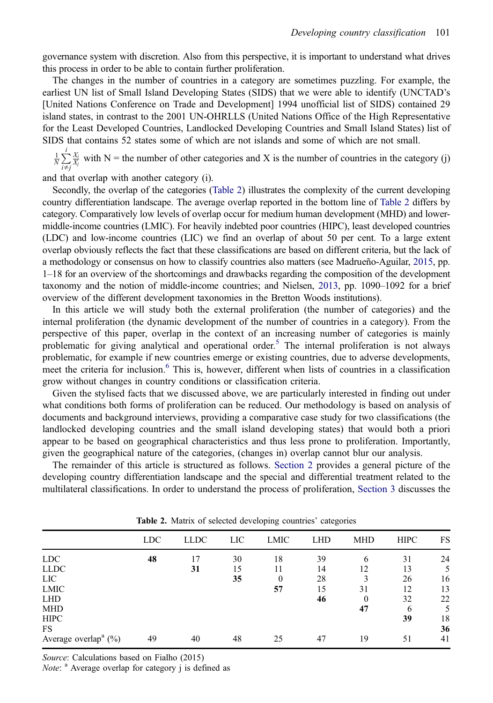<span id="page-3-0"></span>governance system with discretion. Also from this perspective, it is important to understand what drives this process in order to be able to contain further proliferation.

The changes in the number of countries in a category are sometimes puzzling. For example, the earliest UN list of Small Island Developing States (SIDS) that we were able to identify (UNCTAD's [United Nations Conference on Trade and Development] 1994 unofficial list of SIDS) contained 29 island states, in contrast to the 2001 UN-OHRLLS (United Nations Office of the High Representative for the Least Developed Countries, Landlocked Developing Countries and Small Island States) list of SIDS that contains 52 states some of which are not islands and some of which are not small.

 $\frac{1}{N}\sum_{i\neq j}^{i}$  $\frac{X_i}{X_j}$  with N = the number of other categories and X is the number of countries in the category (j)

and that overlap with another category (i).

Secondly, the overlap of the categories (Table 2) illustrates the complexity of the current developing country differentiation landscape. The average overlap reported in the bottom line of Table 2 differs by category. Comparatively low levels of overlap occur for medium human development (MHD) and lowermiddle-income countries (LMIC). For heavily indebted poor countries (HIPC), least developed countries (LDC) and low-income countries (LIC) we find an overlap of about 50 per cent. To a large extent overlap obviously reflects the fact that these classifications are based on different criteria, but the lack of a methodology or consensus on how to classify countries also matters (see Madrueño-Aguilar, [2015](#page-16-0), pp. 1–18 for an overview of the shortcomings and drawbacks regarding the composition of the development taxonomy and the notion of middle-income countries; and Nielsen, [2013](#page-16-0), pp. 1090–1092 for a brief overview of the different development taxonomies in the Bretton Woods institutions).

In this article we will study both the external proliferation (the number of categories) and the internal proliferation (the dynamic development of the number of countries in a category). From the perspective of this paper, overlap in the context of an increasing number of categories is mainly problematic for giving analytical and operational order.<sup>[5](#page-14-0)</sup> The internal proliferation is not always problematic, for example if new countries emerge or existing countries, due to adverse developments, meet the criteria for inclusion.<sup>[6](#page-14-0)</sup> This is, however, different when lists of countries in a classification grow without changes in country conditions or classification criteria.

Given the stylised facts that we discussed above, we are particularly interested in finding out under what conditions both forms of proliferation can be reduced. Our methodology is based on analysis of documents and background interviews, providing a comparative case study for two classifications (the landlocked developing countries and the small island developing states) that would both a priori appear to be based on geographical characteristics and thus less prone to proliferation. Importantly, given the geographical nature of the categories, (changes in) overlap cannot blur our analysis.

The remainder of this article is structured as follows. [Section 2](#page-4-0) provides a general picture of the developing country differentiation landscape and the special and differential treatment related to the multilateral classifications. In order to understand the process of proliferation, [Section 3](#page-6-0) discusses the

|                                     | <b>LDC</b> | <b>LLDC</b> | LIC | <b>LMIC</b> | <b>LHD</b> | <b>MHD</b> | <b>HIPC</b> | FS |
|-------------------------------------|------------|-------------|-----|-------------|------------|------------|-------------|----|
| LDC                                 | 48         | 17          | 30  | 18          | 39         | 6          | 31          | 24 |
| <b>LLDC</b>                         |            | 31          | 15  | 11          | 14         | 12         | 13          | 5  |
| LIC                                 |            |             | 35  | $\theta$    | 28         | 3          | 26          | 16 |
| <b>LMIC</b>                         |            |             |     | 57          | 15         | 31         | 12          | 13 |
| <b>LHD</b>                          |            |             |     |             | 46         | 0          | 32          | 22 |
| <b>MHD</b>                          |            |             |     |             |            | 47         | 6           | 5  |
| <b>HIPC</b>                         |            |             |     |             |            |            | 39          | 18 |
| FS                                  |            |             |     |             |            |            |             | 36 |
| Average overlap <sup>a</sup> $(\%)$ | 49         | 40          | 48  | 25          | 47         | 19         | 51          | 41 |

Table 2. Matrix of selected developing countries' categories

Source: Calculations based on Fialho (2015)

*Note*:  $^{\alpha}$  Average overlap for category *i* is defined as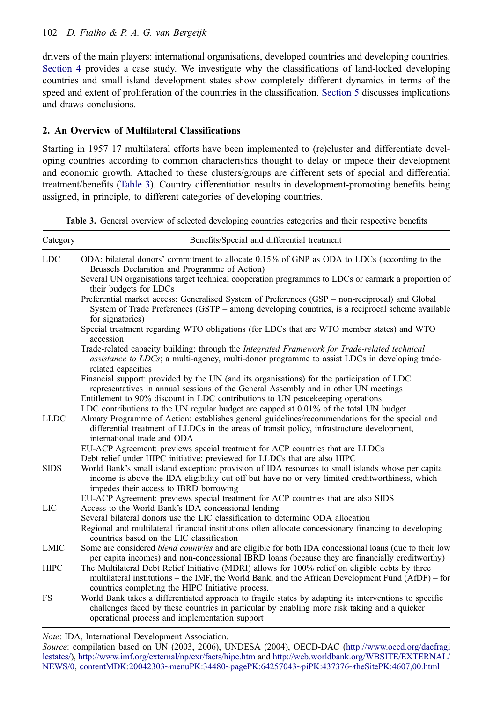<span id="page-4-0"></span>drivers of the main players: international organisations, developed countries and developing countries. [Section 4](#page-9-0) provides a case study. We investigate why the classifications of land-locked developing countries and small island development states show completely different dynamics in terms of the speed and extent of proliferation of the countries in the classification. [Section 5](#page-13-0) discusses implications and draws conclusions.

# 2. An Overview of Multilateral Classifications

Starting in 1957 17 multilateral efforts have been implemented to (re)cluster and differentiate developing countries according to common characteristics thought to delay or impede their development and economic growth. Attached to these clusters/groups are different sets of special and differential treatment/benefits (Table 3). Country differentiation results in development-promoting benefits being assigned, in principle, to different categories of developing countries.

Table 3. General overview of selected developing countries categories and their respective benefits

| Category    | Benefits/Special and differential treatment                                                                                                                                                                                                                 |  |  |  |  |
|-------------|-------------------------------------------------------------------------------------------------------------------------------------------------------------------------------------------------------------------------------------------------------------|--|--|--|--|
| <b>LDC</b>  | ODA: bilateral donors' commitment to allocate 0.15% of GNP as ODA to LDCs (according to the<br>Brussels Declaration and Programme of Action)                                                                                                                |  |  |  |  |
|             | Several UN organisations target technical cooperation programmes to LDCs or earmark a proportion of<br>their budgets for LDCs                                                                                                                               |  |  |  |  |
|             | Preferential market access: Generalised System of Preferences (GSP - non-reciprocal) and Global<br>System of Trade Preferences (GSTP – among developing countries, is a reciprocal scheme available<br>for signatories)                                     |  |  |  |  |
|             | Special treatment regarding WTO obligations (for LDCs that are WTO member states) and WTO<br>accession                                                                                                                                                      |  |  |  |  |
|             | Trade-related capacity building: through the Integrated Framework for Trade-related technical<br>assistance to LDCs; a multi-agency, multi-donor programme to assist LDCs in developing trade-<br>related capacities                                        |  |  |  |  |
|             | Financial support: provided by the UN (and its organisations) for the participation of LDC<br>representatives in annual sessions of the General Assembly and in other UN meetings                                                                           |  |  |  |  |
|             | Entitlement to 90% discount in LDC contributions to UN peacekeeping operations                                                                                                                                                                              |  |  |  |  |
|             | LDC contributions to the UN regular budget are capped at $0.01\%$ of the total UN budget                                                                                                                                                                    |  |  |  |  |
| <b>LLDC</b> | Almaty Programme of Action: establishes general guidelines/recommendations for the special and<br>differential treatment of LLDCs in the areas of transit policy, infrastructure development,<br>international trade and ODA                                |  |  |  |  |
|             | EU-ACP Agreement: previews special treatment for ACP countries that are LLDCs                                                                                                                                                                               |  |  |  |  |
|             | Debt relief under HIPC initiative: previewed for LLDCs that are also HIPC                                                                                                                                                                                   |  |  |  |  |
| <b>SIDS</b> | World Bank's small island exception: provision of IDA resources to small islands whose per capita<br>income is above the IDA eligibility cut-off but have no or very limited creditworthiness, which<br>impedes their access to IBRD borrowing              |  |  |  |  |
|             | EU-ACP Agreement: previews special treatment for ACP countries that are also SIDS                                                                                                                                                                           |  |  |  |  |
| <b>LIC</b>  | Access to the World Bank's IDA concessional lending                                                                                                                                                                                                         |  |  |  |  |
|             | Several bilateral donors use the LIC classification to determine ODA allocation                                                                                                                                                                             |  |  |  |  |
|             | Regional and multilateral financial institutions often allocate concessionary financing to developing<br>countries based on the LIC classification                                                                                                          |  |  |  |  |
| <b>LMIC</b> | Some are considered <i>blend countries</i> and are eligible for both IDA concessional loans (due to their low<br>per capita incomes) and non-concessional IBRD loans (because they are financially creditworthy)                                            |  |  |  |  |
| <b>HIPC</b> | The Multilateral Debt Relief Initiative (MDRI) allows for 100% relief on eligible debts by three<br>multilateral institutions – the IMF, the World Bank, and the African Development Fund (AfDF) – for<br>countries completing the HIPC Initiative process. |  |  |  |  |
| <b>FS</b>   | World Bank takes a differentiated approach to fragile states by adapting its interventions to specific<br>challenges faced by these countries in particular by enabling more risk taking and a quicker<br>operational process and implementation support    |  |  |  |  |

Note: IDA, International Development Association.

Source: compilation based on UN (2003, 2006), UNDESA (2004), OECD-DAC [\(http://www.oecd.org/dacfragi](http://www.oecd.org/dacfragilestates/) [lestates/\)](http://www.oecd.org/dacfragilestates/), <http://www.imf.org/external/np/exr/facts/hipc.htm> and [http://web.worldbank.org/WBSITE/EXTERNAL/](http://web.worldbank.org/WBSITE/EXTERNAL/NEWS/0) [NEWS/0,](http://web.worldbank.org/WBSITE/EXTERNAL/NEWS/0) [contentMDK:20042303~menuPK:34480~pagePK:64257043~piPK:437376~theSitePK:4607,00.html](http://contentMDK:20042303%7EmenuPK:34480%7EpagePK:64257043%7EpiPK:437376%7EtheSitePK:4607,00.html)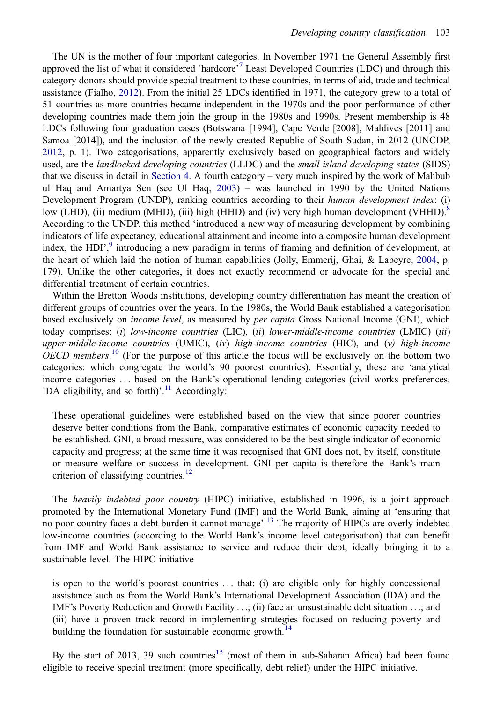<span id="page-5-0"></span>The UN is the mother of four important categories. In November 1971 the General Assembly first approved the list of what it considered 'hardcore'<sup>[7](#page-14-0)</sup> Least Developed Countries (LDC) and through this category donors should provide special treatment to these countries, in terms of aid, trade and technical assistance (Fialho, [2012\)](#page-15-0). From the initial 25 LDCs identified in 1971, the category grew to a total of 51 countries as more countries became independent in the 1970s and the poor performance of other developing countries made them join the group in the 1980s and 1990s. Present membership is 48 LDCs following four graduation cases (Botswana [1994], Cape Verde [2008], Maldives [2011] and Samoa [2014]), and the inclusion of the newly created Republic of South Sudan, in 2012 (UNCDP, [2012](#page-16-0), p. 1). Two categorisations, apparently exclusively based on geographical factors and widely used, are the *landlocked developing countries* (LLDC) and the *small island developing states* (SIDS) that we discuss in detail in [Section 4.](#page-9-0) A fourth category – very much inspired by the work of Mahbub ul Haq and Amartya Sen (see Ul Haq, [2003\)](#page-16-0) – was launched in 1990 by the United Nations Development Program (UNDP), ranking countries according to their *human development index*: (i) low (LHD), (ii) medium (MHD), (iii) high (HHD) and (iv) very high human development (VHHD).<sup>[8](#page-14-0)</sup> According to the UNDP, this method 'introduced a new way of measuring development by combining indicators of life expectancy, educational attainment and income into a composite human development index, the HDI',<sup>[9](#page-14-0)</sup> introducing a new paradigm in terms of framing and definition of development, at the heart of which laid the notion of human capabilities (Jolly, Emmerij, Ghai, & Lapeyre, [2004](#page-16-0), p. 179). Unlike the other categories, it does not exactly recommend or advocate for the special and differential treatment of certain countries.

Within the Bretton Woods institutions, developing country differentiation has meant the creation of different groups of countries over the years. In the 1980s, the World Bank established a categorisation based exclusively on *income level*, as measured by *per capita* Gross National Income (GNI), which today comprises: (i) low-income countries (LIC), (ii) lower-middle-income countries (LMIC) (iii) upper-middle-income countries (UMIC), (iv) high-income countries (HIC), and (v) high-income OECD members.<sup>[10](#page-14-0)</sup> (For the purpose of this article the focus will be exclusively on the bottom two categories: which congregate the world's 90 poorest countries). Essentially, these are 'analytical income categories ... based on the Bank's operational lending categories (civil works preferences, IDA eligibility, and so forth)'. [11](#page-14-0) Accordingly:

These operational guidelines were established based on the view that since poorer countries deserve better conditions from the Bank, comparative estimates of economic capacity needed to be established. GNI, a broad measure, was considered to be the best single indicator of economic capacity and progress; at the same time it was recognised that GNI does not, by itself, constitute or measure welfare or success in development. GNI per capita is therefore the Bank's main criterion of classifying countries.<sup>[12](#page-14-0)</sup>

The *heavily indebted poor country* (HIPC) initiative, established in 1996, is a joint approach promoted by the International Monetary Fund (IMF) and the World Bank, aiming at 'ensuring that no poor country faces a debt burden it cannot manage'.<sup>[13](#page-14-0)</sup> The majority of HIPCs are overly indebted low-income countries (according to the World Bank's income level categorisation) that can benefit from IMF and World Bank assistance to service and reduce their debt, ideally bringing it to a sustainable level. The HIPC initiative

is open to the world's poorest countries . . . that: (i) are eligible only for highly concessional assistance such as from the World Bank's International Development Association (IDA) and the IMF's Poverty Reduction and Growth Facility . . .; (ii) face an unsustainable debt situation . . .; and (iii) have a proven track record in implementing strategies focused on reducing poverty and building the foundation for sustainable economic growth.<sup>[14](#page-14-0)</sup>

By the start of 2013, 39 such countries<sup>[15](#page-14-0)</sup> (most of them in sub-Saharan Africa) had been found eligible to receive special treatment (more specifically, debt relief) under the HIPC initiative.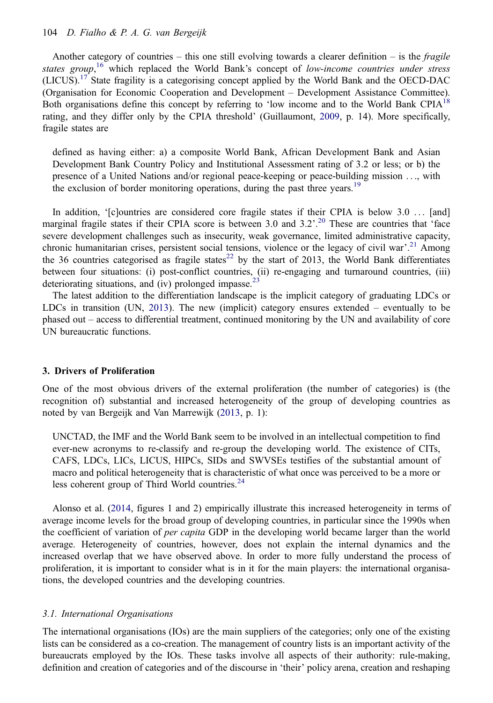<span id="page-6-0"></span>Another category of countries – this one still evolving towards a clearer definition – is the *fragile* states group,<sup>[16](#page-14-0)</sup> which replaced the World Bank's concept of low-income countries under stress  $(LICUS)^{17}$  $(LICUS)^{17}$  $(LICUS)^{17}$  State fragility is a categorising concept applied by the World Bank and the OECD-DAC (Organisation for Economic Cooperation and Development – Development Assistance Committee). Both organisations define this concept by referring to 'low income and to the World Bank CPIA<sup>[18](#page-15-0)</sup> rating, and they differ only by the CPIA threshold' (Guillaumont, [2009,](#page-16-0) p. 14). More specifically, fragile states are

defined as having either: a) a composite World Bank, African Development Bank and Asian Development Bank Country Policy and Institutional Assessment rating of 3.2 or less; or b) the presence of a United Nations and/or regional peace-keeping or peace-building mission . . ., with the exclusion of border monitoring operations, during the past three years.<sup>[19](#page-15-0)</sup>

In addition, '[c]ountries are considered core fragile states if their CPIA is below  $3.0$  ... [and] marginal fragile states if their CPIA score is between 3.0 and 3.2'.<sup>[20](#page-15-0)</sup> These are countries that 'face severe development challenges such as insecurity, weak governance, limited administrative capacity, chronic humanitarian crises, persistent social tensions, violence or the legacy of civil war'.<sup>[21](#page-15-0)</sup> Among the 36 countries categorised as fragile states<sup>[22](#page-15-0)</sup> by the start of 2013, the World Bank differentiates between four situations: (i) post-conflict countries, (ii) re-engaging and turnaround countries, (iii) deteriorating situations, and (iv) prolonged impasse.<sup>[23](#page-15-0)</sup>

The latest addition to the differentiation landscape is the implicit category of graduating LDCs or LDCs in transition (UN, [2013\)](#page-16-0). The new (implicit) category ensures extended – eventually to be phased out – access to differential treatment, continued monitoring by the UN and availability of core UN bureaucratic functions.

### 3. Drivers of Proliferation

One of the most obvious drivers of the external proliferation (the number of categories) is (the recognition of) substantial and increased heterogeneity of the group of developing countries as noted by van Bergeijk and Van Marrewijk [\(2013](#page-17-0), p. 1):

UNCTAD, the IMF and the World Bank seem to be involved in an intellectual competition to find ever-new acronyms to re-classify and re-group the developing world. The existence of CITs, CAFS, LDCs, LICs, LICUS, HIPCs, SIDs and SWVSEs testifies of the substantial amount of macro and political heterogeneity that is characteristic of what once was perceived to be a more or less coherent group of Third World countries.<sup>[24](#page-15-0)</sup>

Alonso et al. [\(2014](#page-15-0), figures 1 and 2) empirically illustrate this increased heterogeneity in terms of average income levels for the broad group of developing countries, in particular since the 1990s when the coefficient of variation of *per capita* GDP in the developing world became larger than the world average. Heterogeneity of countries, however, does not explain the internal dynamics and the increased overlap that we have observed above. In order to more fully understand the process of proliferation, it is important to consider what is in it for the main players: the international organisations, the developed countries and the developing countries.

#### 3.1. International Organisations

The international organisations (IOs) are the main suppliers of the categories; only one of the existing lists can be considered as a co-creation. The management of country lists is an important activity of the bureaucrats employed by the IOs. These tasks involve all aspects of their authority: rule-making, definition and creation of categories and of the discourse in 'their' policy arena, creation and reshaping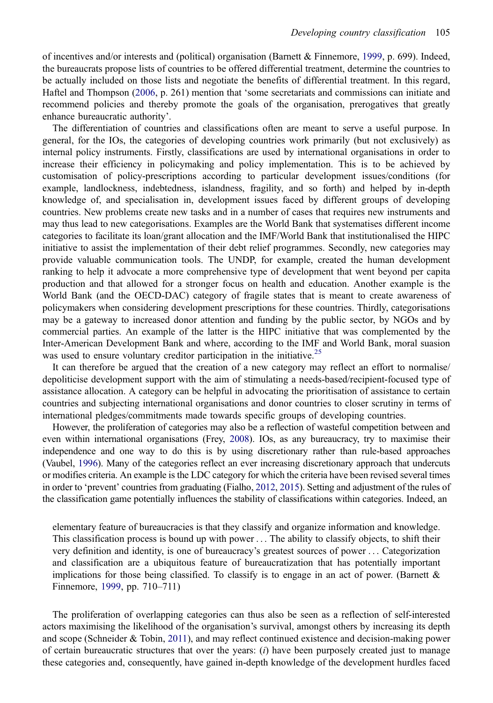<span id="page-7-0"></span>of incentives and/or interests and (political) organisation (Barnett & Finnemore, [1999,](#page-15-0) p. 699). Indeed, the bureaucrats propose lists of countries to be offered differential treatment, determine the countries to be actually included on those lists and negotiate the benefits of differential treatment. In this regard, Haftel and Thompson [\(2006](#page-16-0), p. 261) mention that 'some secretariats and commissions can initiate and recommend policies and thereby promote the goals of the organisation, prerogatives that greatly enhance bureaucratic authority'.

The differentiation of countries and classifications often are meant to serve a useful purpose. In general, for the IOs, the categories of developing countries work primarily (but not exclusively) as internal policy instruments. Firstly, classifications are used by international organisations in order to increase their efficiency in policymaking and policy implementation. This is to be achieved by customisation of policy-prescriptions according to particular development issues/conditions (for example, landlockness, indebtedness, islandness, fragility, and so forth) and helped by in-depth knowledge of, and specialisation in, development issues faced by different groups of developing countries. New problems create new tasks and in a number of cases that requires new instruments and may thus lead to new categorisations. Examples are the World Bank that systematises different income categories to facilitate its loan/grant allocation and the IMF/World Bank that institutionalised the HIPC initiative to assist the implementation of their debt relief programmes. Secondly, new categories may provide valuable communication tools. The UNDP, for example, created the human development ranking to help it advocate a more comprehensive type of development that went beyond per capita production and that allowed for a stronger focus on health and education. Another example is the World Bank (and the OECD-DAC) category of fragile states that is meant to create awareness of policymakers when considering development prescriptions for these countries. Thirdly, categorisations may be a gateway to increased donor attention and funding by the public sector, by NGOs and by commercial parties. An example of the latter is the HIPC initiative that was complemented by the Inter-American Development Bank and where, according to the IMF and World Bank, moral suasion was used to ensure voluntary creditor participation in the initiative.<sup>[25](#page-15-0)</sup>

It can therefore be argued that the creation of a new category may reflect an effort to normalise/ depoliticise development support with the aim of stimulating a needs-based/recipient-focused type of assistance allocation. A category can be helpful in advocating the prioritisation of assistance to certain countries and subjecting international organisations and donor countries to closer scrutiny in terms of international pledges/commitments made towards specific groups of developing countries.

However, the proliferation of categories may also be a reflection of wasteful competition between and even within international organisations (Frey, [2008](#page-15-0)). IOs, as any bureaucracy, try to maximise their independence and one way to do this is by using discretionary rather than rule-based approaches (Vaubel, [1996\)](#page-17-0). Many of the categories reflect an ever increasing discretionary approach that undercuts or modifies criteria. An example is the LDC category for which the criteria have been revised several times in order to 'prevent' countries from graduating (Fialho, [2012,](#page-15-0) [2015\)](#page-15-0). Setting and adjustment of the rules of the classification game potentially influences the stability of classifications within categories. Indeed, an

elementary feature of bureaucracies is that they classify and organize information and knowledge. This classification process is bound up with power . . . The ability to classify objects, to shift their very definition and identity, is one of bureaucracy's greatest sources of power . . . Categorization and classification are a ubiquitous feature of bureaucratization that has potentially important implications for those being classified. To classify is to engage in an act of power. (Barnett  $\&$ Finnemore, [1999](#page-15-0), pp. 710–711)

The proliferation of overlapping categories can thus also be seen as a reflection of self-interested actors maximising the likelihood of the organisation's survival, amongst others by increasing its depth and scope (Schneider & Tobin, [2011\)](#page-16-0), and may reflect continued existence and decision-making power of certain bureaucratic structures that over the years:  $(i)$  have been purposely created just to manage these categories and, consequently, have gained in-depth knowledge of the development hurdles faced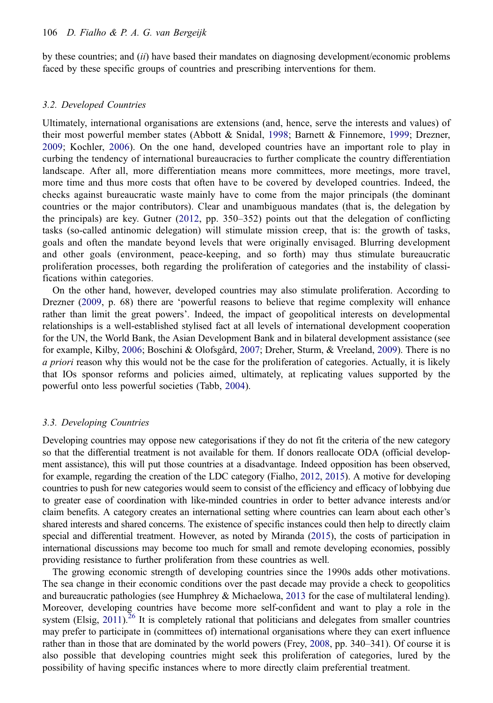<span id="page-8-0"></span>by these countries; and (ii) have based their mandates on diagnosing development/economic problems faced by these specific groups of countries and prescribing interventions for them.

#### 3.2. Developed Countries

Ultimately, international organisations are extensions (and, hence, serve the interests and values) of their most powerful member states (Abbott & Snidal, [1998;](#page-15-0) Barnett & Finnemore, [1999;](#page-15-0) Drezner, [2009;](#page-15-0) Kochler, [2006\)](#page-16-0). On the one hand, developed countries have an important role to play in curbing the tendency of international bureaucracies to further complicate the country differentiation landscape. After all, more differentiation means more committees, more meetings, more travel, more time and thus more costs that often have to be covered by developed countries. Indeed, the checks against bureaucratic waste mainly have to come from the major principals (the dominant countries or the major contributors). Clear and unambiguous mandates (that is, the delegation by the principals) are key. Gutner [\(2012](#page-16-0), pp. 350–352) points out that the delegation of conflicting tasks (so-called antinomic delegation) will stimulate mission creep, that is: the growth of tasks, goals and often the mandate beyond levels that were originally envisaged. Blurring development and other goals (environment, peace-keeping, and so forth) may thus stimulate bureaucratic proliferation processes, both regarding the proliferation of categories and the instability of classifications within categories.

On the other hand, however, developed countries may also stimulate proliferation. According to Drezner ([2009,](#page-15-0) p. 68) there are 'powerful reasons to believe that regime complexity will enhance rather than limit the great powers'. Indeed, the impact of geopolitical interests on developmental relationships is a well-established stylised fact at all levels of international development cooperation for the UN, the World Bank, the Asian Development Bank and in bilateral development assistance (see for example, Kilby, [2006](#page-16-0); Boschini & Olofsgård, [2007](#page-15-0); Dreher, Sturm, & Vreeland, [2009\)](#page-15-0). There is no a priori reason why this would not be the case for the proliferation of categories. Actually, it is likely that IOs sponsor reforms and policies aimed, ultimately, at replicating values supported by the powerful onto less powerful societies (Tabb, [2004](#page-16-0)).

## 3.3. Developing Countries

Developing countries may oppose new categorisations if they do not fit the criteria of the new category so that the differential treatment is not available for them. If donors reallocate ODA (official development assistance), this will put those countries at a disadvantage. Indeed opposition has been observed, for example, regarding the creation of the LDC category (Fialho, [2012](#page-15-0), [2015](#page-15-0)). A motive for developing countries to push for new categories would seem to consist of the efficiency and efficacy of lobbying due to greater ease of coordination with like-minded countries in order to better advance interests and/or claim benefits. A category creates an international setting where countries can learn about each other's shared interests and shared concerns. The existence of specific instances could then help to directly claim special and differential treatment. However, as noted by Miranda [\(2015\)](#page-16-0), the costs of participation in international discussions may become too much for small and remote developing economies, possibly providing resistance to further proliferation from these countries as well.

The growing economic strength of developing countries since the 1990s adds other motivations. The sea change in their economic conditions over the past decade may provide a check to geopolitics and bureaucratic pathologies (see Humphrey & Michaelowa, [2013](#page-16-0) for the case of multilateral lending). Moreover, developing countries have become more self-confident and want to play a role in the system (Elsig, [2011](#page-15-0)).<sup>[26](#page-15-0)</sup> It is completely rational that politicians and delegates from smaller countries may prefer to participate in (committees of) international organisations where they can exert influence rather than in those that are dominated by the world powers (Frey, [2008](#page-15-0), pp. 340–341). Of course it is also possible that developing countries might seek this proliferation of categories, lured by the possibility of having specific instances where to more directly claim preferential treatment.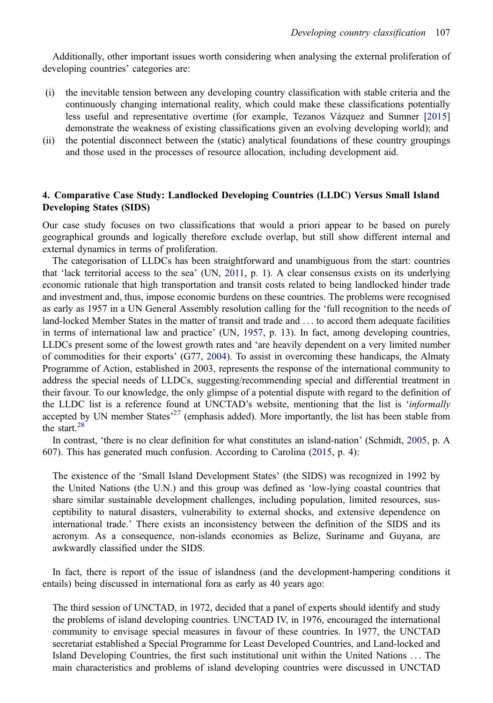<span id="page-9-0"></span>Additionally, other important issues worth considering when analysing the external proliferation of developing countries' categories are:

- (i) the inevitable tension between any developing country classification with stable criteria and the continuously changing international reality, which could make these classifications potentially less useful and representative overtime (for example, Tezanos Vázquez and Sumner [[2015](#page-16-0)] demonstrate the weakness of existing classifications given an evolving developing world); and
- (ii) the potential disconnect between the (static) analytical foundations of these country groupings and those used in the processes of resource allocation, including development aid.

# 4. Comparative Case Study: Landlocked Developing Countries (LLDC) Versus Small Island Developing States (SIDS)

Our case study focuses on two classifications that would a priori appear to be based on purely geographical grounds and logically therefore exclude overlap, but still show different internal and external dynamics in terms of proliferation.

The categorisation of LLDCs has been straightforward and unambiguous from the start: countries that 'lack territorial access to the sea' (UN, [2011,](#page-16-0) p. 1). A clear consensus exists on its underlying economic rationale that high transportation and transit costs related to being landlocked hinder trade and investment and, thus, impose economic burdens on these countries. The problems were recognised as early as 1957 in a UN General Assembly resolution calling for the 'full recognition to the needs of land-locked Member States in the matter of transit and trade and . . . to accord them adequate facilities in terms of international law and practice' (UN, [1957](#page-16-0), p. 13). In fact, among developing countries, LLDCs present some of the lowest growth rates and 'are heavily dependent on a very limited number of commodities for their exports' (G77, [2004\)](#page-16-0). To assist in overcoming these handicaps, the Almaty Programme of Action, established in 2003, represents the response of the international community to address the special needs of LLDCs, suggesting/recommending special and differential treatment in their favour. To our knowledge, the only glimpse of a potential dispute with regard to the definition of the LLDC list is a reference found at UNCTAD's website, mentioning that the list is 'informally accepted by UN member States<sup>,[27](#page-15-0)</sup> (emphasis added). More importantly, the list has been stable from the start. $^{28}$  $^{28}$  $^{28}$ 

In contrast, 'there is no clear definition for what constitutes an island-nation' (Schmidt, [2005](#page-16-0), p. A 607). This has generated much confusion. According to Carolina [\(2015](#page-15-0), p. 4):

The existence of the 'Small Island Development States' (the SIDS) was recognized in 1992 by the United Nations (the U.N.) and this group was defined as 'low-lying coastal countries that share similar sustainable development challenges, including population, limited resources, susceptibility to natural disasters, vulnerability to external shocks, and extensive dependence on international trade.' There exists an inconsistency between the definition of the SIDS and its acronym. As a consequence, non-islands economies as Belize, Suriname and Guyana, are awkwardly classified under the SIDS.

In fact, there is report of the issue of islandness (and the development-hampering conditions it entails) being discussed in international fora as early as 40 years ago:

The third session of UNCTAD, in 1972, decided that a panel of experts should identify and study the problems of island developing countries. UNCTAD IV, in 1976, encouraged the international community to envisage special measures in favour of these countries. In 1977, the UNCTAD secretariat established a Special Programme for Least Developed Countries, and Land-locked and Island Developing Countries, the first such institutional unit within the United Nations . . . The main characteristics and problems of island developing countries were discussed in UNCTAD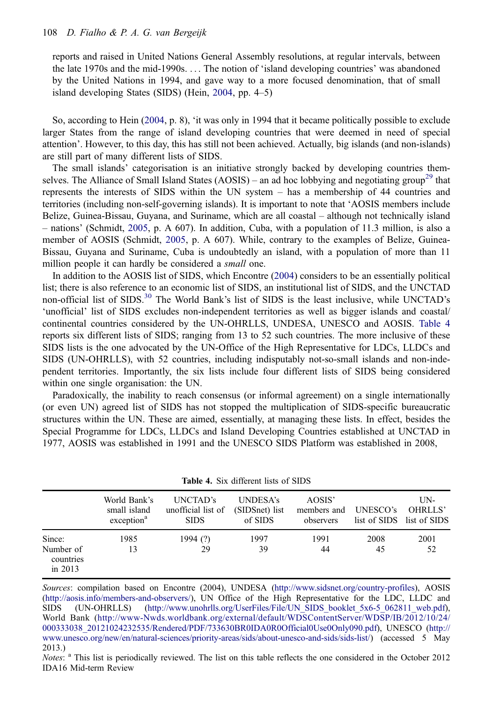<span id="page-10-0"></span>reports and raised in United Nations General Assembly resolutions, at regular intervals, between the late 1970s and the mid-1990s. . . . The notion of 'island developing countries' was abandoned by the United Nations in 1994, and gave way to a more focused denomination, that of small island developing States (SIDS) (Hein, [2004,](#page-16-0) pp. 4–5)

So, according to Hein ([2004,](#page-16-0) p. 8), 'it was only in 1994 that it became politically possible to exclude larger States from the range of island developing countries that were deemed in need of special attention'. However, to this day, this has still not been achieved. Actually, big islands (and non-islands) are still part of many different lists of SIDS.

The small islands' categorisation is an initiative strongly backed by developing countries them-selves. The Alliance of Small Island States (AOSIS) – an ad hoc lobbying and negotiating group<sup>[29](#page-15-0)</sup> that represents the interests of SIDS within the UN system – has a membership of 44 countries and territories (including non-self-governing islands). It is important to note that 'AOSIS members include Belize, Guinea-Bissau, Guyana, and Suriname, which are all coastal – although not technically island – nations' (Schmidt, [2005](#page-16-0), p. A 607). In addition, Cuba, with a population of 11.3 million, is also a member of AOSIS (Schmidt, [2005,](#page-16-0) p. A 607). While, contrary to the examples of Belize, Guinea-Bissau, Guyana and Suriname, Cuba is undoubtedly an island, with a population of more than 11 million people it can hardly be considered a *small* one.

In addition to the AOSIS list of SIDS, which Encontre ([2004](#page-15-0)) considers to be an essentially political list; there is also reference to an economic list of SIDS, an institutional list of SIDS, and the UNCTAD non-official list of SIDS.<sup>[30](#page-15-0)</sup> The World Bank's list of SIDS is the least inclusive, while UNCTAD's 'unofficial' list of SIDS excludes non-independent territories as well as bigger islands and coastal/ continental countries considered by the UN-OHRLLS, UNDESA, UNESCO and AOSIS. Table 4 reports six different lists of SIDS; ranging from 13 to 52 such countries. The more inclusive of these SIDS lists is the one advocated by the UN-Office of the High Representative for LDCs, LLDCs and SIDS (UN-OHRLLS), with 52 countries, including indisputably not-so-small islands and non-independent territories. Importantly, the six lists include four different lists of SIDS being considered within one single organisation: the UN.

Paradoxically, the inability to reach consensus (or informal agreement) on a single internationally (or even UN) agreed list of SIDS has not stopped the multiplication of SIDS-specific bureaucratic structures within the UN. These are aimed, essentially, at managing these lists. In effect, besides the Special Programme for LDCs, LLDCs and Island Developing Countries established at UNCTAD in 1977, AOSIS was established in 1991 and the UNESCO SIDS Platform was established in 2008,

| <b>Table 4.</b> SIX different fists of SIDS |                                                        |                                               |                                       |                                    |          |                                             |  |  |  |
|---------------------------------------------|--------------------------------------------------------|-----------------------------------------------|---------------------------------------|------------------------------------|----------|---------------------------------------------|--|--|--|
|                                             | World Bank's<br>small island<br>exception <sup>a</sup> | UNCTAD's<br>unofficial list of<br><b>SIDS</b> | UNDESA's<br>(SIDSnet) list<br>of SIDS | AOSIS'<br>members and<br>observers | UNESCO's | UN-<br>OHRLLS'<br>list of SIDS list of SIDS |  |  |  |
| Since:                                      | 1985                                                   | 1994 $(?)$                                    | 1997                                  | 1991                               | 2008     | 2001                                        |  |  |  |
| Number of<br>countries<br>in $2013$         | 13                                                     | 29                                            | 39                                    | 44                                 | 45       | 52                                          |  |  |  |

| <b>Table 4.</b> Six different lists of SIDS |  |  |  |  |  |
|---------------------------------------------|--|--|--|--|--|
|---------------------------------------------|--|--|--|--|--|

Sources: compilation based on Encontre (2004), UNDESA (<http://www.sidsnet.org/country-profiles>), AOSIS [\(http://aosis.info/members-and-observers/\)](http://aosis.info/members-and-observers/), UN Office of the High Representative for the LDC, LLDC and SIDS (UN-OHRLLS) ([http://www.unohrlls.org/UserFiles/File/UN\\_SIDS\\_booklet\\_5x6-5\\_062811\\_web.pdf\)](http://www.unohrlls.org/UserFiles/File/UN_SIDS_booklet_5x6-5_062811_web.pdf), World Bank ([http://www-Nwds.worldbank.org/external/default/WDSContentServer/WDSP/IB/2012/10/24/](http://www-Nwds.worldbank.org/external/default/WDSContentServer/WDSP/IB/2012/10/24/000333038_20121024232535/Rendered/PDF/733630BR0IDA0R0Official0Use0Only090.pdf) [000333038\\_20121024232535/Rendered/PDF/733630BR0IDA0R0Official0Use0Only090.pdf](http://www-Nwds.worldbank.org/external/default/WDSContentServer/WDSP/IB/2012/10/24/000333038_20121024232535/Rendered/PDF/733630BR0IDA0R0Official0Use0Only090.pdf)), UNESCO ([http://](http://www.unesco.org/new/en/natural-sciences/priority-areas/sids/about-unesco-and-sids/sids-list/) [www.unesco.org/new/en/natural-sciences/priority-areas/sids/about-unesco-and-sids/sids-list/\)](http://www.unesco.org/new/en/natural-sciences/priority-areas/sids/about-unesco-and-sids/sids-list/) (accessed 5 May 2013.)

Notes: <sup>a</sup> This list is periodically reviewed. The list on this table reflects the one considered in the October 2012 IDA16 Mid-term Review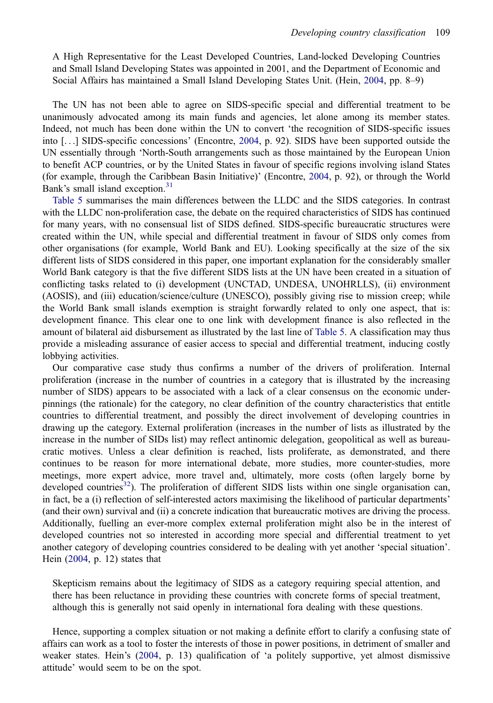A High Representative for the Least Developed Countries, Land-locked Developing Countries and Small Island Developing States was appointed in 2001, and the Department of Economic and Social Affairs has maintained a Small Island Developing States Unit. (Hein, [2004](#page-16-0), pp. 8–9)

The UN has not been able to agree on SIDS-specific special and differential treatment to be unanimously advocated among its main funds and agencies, let alone among its member states. Indeed, not much has been done within the UN to convert 'the recognition of SIDS-specific issues into [. . .] SIDS-specific concessions' (Encontre, [2004](#page-15-0), p. 92). SIDS have been supported outside the UN essentially through 'North-South arrangements such as those maintained by the European Union to benefit ACP countries, or by the United States in favour of specific regions involving island States (for example, through the Caribbean Basin Initiative)' (Encontre, [2004](#page-15-0), p. 92), or through the World Bank's small island exception.<sup>[31](#page-15-0)</sup>

[Table 5](#page-12-0) summarises the main differences between the LLDC and the SIDS categories. In contrast with the LLDC non-proliferation case, the debate on the required characteristics of SIDS has continued for many years, with no consensual list of SIDS defined. SIDS-specific bureaucratic structures were created within the UN, while special and differential treatment in favour of SIDS only comes from other organisations (for example, World Bank and EU). Looking specifically at the size of the six different lists of SIDS considered in this paper, one important explanation for the considerably smaller World Bank category is that the five different SIDS lists at the UN have been created in a situation of conflicting tasks related to (i) development (UNCTAD, UNDESA, UNOHRLLS), (ii) environment (AOSIS), and (iii) education/science/culture (UNESCO), possibly giving rise to mission creep; while the World Bank small islands exemption is straight forwardly related to only one aspect, that is: development finance. This clear one to one link with development finance is also reflected in the amount of bilateral aid disbursement as illustrated by the last line of [Table 5.](#page-12-0) A classification may thus provide a misleading assurance of easier access to special and differential treatment, inducing costly lobbying activities.

Our comparative case study thus confirms a number of the drivers of proliferation. Internal proliferation (increase in the number of countries in a category that is illustrated by the increasing number of SIDS) appears to be associated with a lack of a clear consensus on the economic underpinnings (the rationale) for the category, no clear definition of the country characteristics that entitle countries to differential treatment, and possibly the direct involvement of developing countries in drawing up the category. External proliferation (increases in the number of lists as illustrated by the increase in the number of SIDs list) may reflect antinomic delegation, geopolitical as well as bureaucratic motives. Unless a clear definition is reached, lists proliferate, as demonstrated, and there continues to be reason for more international debate, more studies, more counter-studies, more meetings, more expert advice, more travel and, ultimately, more costs (often largely borne by developed countries<sup>32</sup>). The proliferation of different SIDS lists within one single organisation can, in fact, be a (i) reflection of self-interested actors maximising the likelihood of particular departments' (and their own) survival and (ii) a concrete indication that bureaucratic motives are driving the process. Additionally, fuelling an ever-more complex external proliferation might also be in the interest of developed countries not so interested in according more special and differential treatment to yet another category of developing countries considered to be dealing with yet another 'special situation'. Hein [\(2004](#page-16-0), p. 12) states that

Skepticism remains about the legitimacy of SIDS as a category requiring special attention, and there has been reluctance in providing these countries with concrete forms of special treatment, although this is generally not said openly in international fora dealing with these questions.

Hence, supporting a complex situation or not making a definite effort to clarify a confusing state of affairs can work as a tool to foster the interests of those in power positions, in detriment of smaller and weaker states. Hein's ([2004,](#page-16-0) p. 13) qualification of 'a politely supportive, yet almost dismissive attitude' would seem to be on the spot.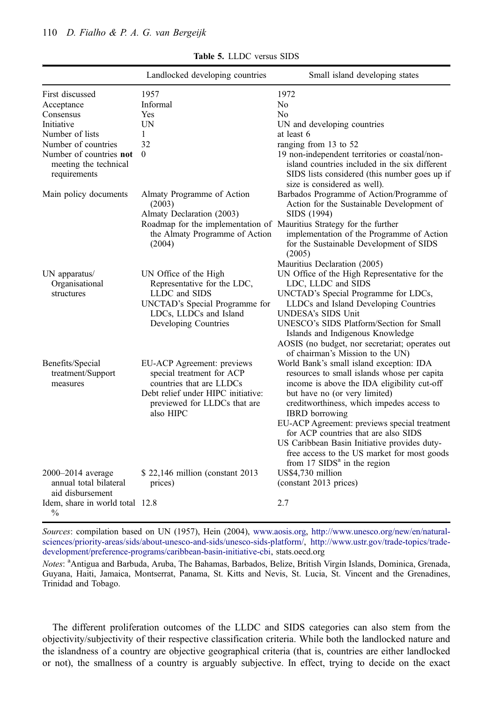<span id="page-12-0"></span>

|                                                                                         | Landlocked developing countries                                                                                                                                                       | Small island developing states                                                                                                                                                                                                                                                                                                                                                                                                                                                    |
|-----------------------------------------------------------------------------------------|---------------------------------------------------------------------------------------------------------------------------------------------------------------------------------------|-----------------------------------------------------------------------------------------------------------------------------------------------------------------------------------------------------------------------------------------------------------------------------------------------------------------------------------------------------------------------------------------------------------------------------------------------------------------------------------|
| First discussed<br>Acceptance                                                           | 1957<br>Informal                                                                                                                                                                      | 1972<br>No                                                                                                                                                                                                                                                                                                                                                                                                                                                                        |
| Consensus                                                                               | Yes                                                                                                                                                                                   | N <sub>0</sub>                                                                                                                                                                                                                                                                                                                                                                                                                                                                    |
| Initiative                                                                              | UN                                                                                                                                                                                    | UN and developing countries                                                                                                                                                                                                                                                                                                                                                                                                                                                       |
| Number of lists                                                                         | 1                                                                                                                                                                                     | at least 6                                                                                                                                                                                                                                                                                                                                                                                                                                                                        |
| Number of countries<br>Number of countries not<br>meeting the technical<br>requirements | 32<br>$\theta$                                                                                                                                                                        | ranging from 13 to 52<br>19 non-independent territories or coastal/non-<br>island countries included in the six different<br>SIDS lists considered (this number goes up if<br>size is considered as well).                                                                                                                                                                                                                                                                        |
| Main policy documents                                                                   | Almaty Programme of Action<br>(2003)<br>Almaty Declaration (2003)<br>Roadmap for the implementation of Mauritius Strategy for the further<br>the Almaty Programme of Action<br>(2004) | Barbados Programme of Action/Programme of<br>Action for the Sustainable Development of<br>SIDS (1994)<br>implementation of the Programme of Action<br>for the Sustainable Development of SIDS<br>(2005)<br>Mauritius Declaration (2005)                                                                                                                                                                                                                                           |
| UN apparatus/<br>Organisational<br>structures                                           | UN Office of the High<br>Representative for the LDC,<br>LLDC and SIDS<br>UNCTAD's Special Programme for<br>LDCs, LLDCs and Island<br>Developing Countries                             | UN Office of the High Representative for the<br>LDC, LLDC and SIDS<br>UNCTAD's Special Programme for LDCs,<br>LLDCs and Island Developing Countries<br>UNDESA's SIDS Unit<br>UNESCO's SIDS Platform/Section for Small<br>Islands and Indigenous Knowledge<br>AOSIS (no budget, nor secretariat; operates out<br>of chairman's Mission to the UN)                                                                                                                                  |
| Benefits/Special<br>treatment/Support<br>measures                                       | EU-ACP Agreement: previews<br>special treatment for ACP<br>countries that are LLDCs<br>Debt relief under HIPC initiative:<br>previewed for LLDCs that are<br>also HIPC                | World Bank's small island exception: IDA<br>resources to small islands whose per capita<br>income is above the IDA eligibility cut-off<br>but have no (or very limited)<br>creditworthiness, which impedes access to<br><b>IBRD</b> borrowing<br>EU-ACP Agreement: previews special treatment<br>for ACP countries that are also SIDS<br>US Caribbean Basin Initiative provides duty-<br>free access to the US market for most goods<br>from $17$ SIDS <sup>a</sup> in the region |
| 2000-2014 average<br>annual total bilateral<br>aid disbursement                         | \$22,146 million (constant 2013)<br>prices)                                                                                                                                           | US\$4,730 million<br>(constant 2013 prices)                                                                                                                                                                                                                                                                                                                                                                                                                                       |
| Idem, share in world total 12.8<br>$\frac{0}{0}$                                        |                                                                                                                                                                                       | 2.7                                                                                                                                                                                                                                                                                                                                                                                                                                                                               |

| <b>Table 5. LLDC</b> versus SIDS |  |  |  |  |
|----------------------------------|--|--|--|--|
|----------------------------------|--|--|--|--|

Sources: compilation based on UN (1957), Hein (2004), [www.aosis.org](http://www.aosis.org), [http://www.unesco.org/new/en/natural](http://www.unesco.org/new/en/natural-sciences/priority-areas/sids/about-unesco-and-sids/unesco-sids-platform/)[sciences/priority-areas/sids/about-unesco-and-sids/unesco-sids-platform/](http://www.unesco.org/new/en/natural-sciences/priority-areas/sids/about-unesco-and-sids/unesco-sids-platform/), [http://www.ustr.gov/trade-topics/trade](http://www.ustr.gov/trade-topics/trade-development/preference-programs/caribbean-basin-initiative-cbi)[development/preference-programs/caribbean-basin-initiative-cbi](http://www.ustr.gov/trade-topics/trade-development/preference-programs/caribbean-basin-initiative-cbi), stats.oecd.org

Notes: <sup>a</sup>Antigua and Barbuda, Aruba, The Bahamas, Barbados, Belize, British Virgin Islands, Dominica, Grenada, Guyana, Haiti, Jamaica, Montserrat, Panama, St. Kitts and Nevis, St. Lucia, St. Vincent and the Grenadines, Trinidad and Tobago.

The different proliferation outcomes of the LLDC and SIDS categories can also stem from the objectivity/subjectivity of their respective classification criteria. While both the landlocked nature and the islandness of a country are objective geographical criteria (that is, countries are either landlocked or not), the smallness of a country is arguably subjective. In effect, trying to decide on the exact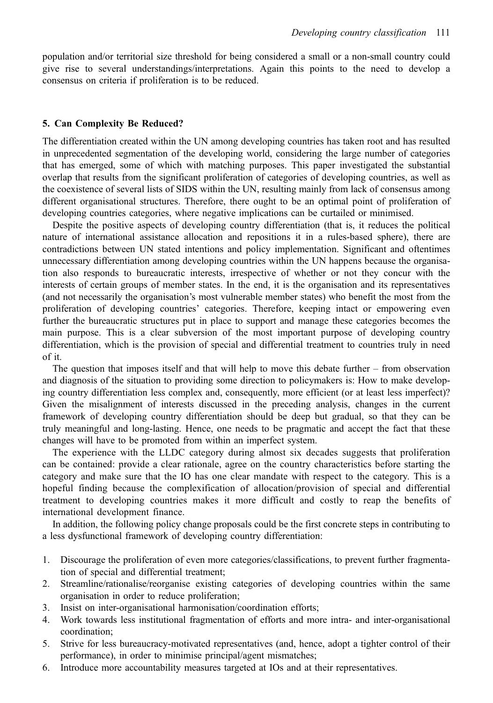<span id="page-13-0"></span>population and/or territorial size threshold for being considered a small or a non-small country could give rise to several understandings/interpretations. Again this points to the need to develop a consensus on criteria if proliferation is to be reduced.

### 5. Can Complexity Be Reduced?

The differentiation created within the UN among developing countries has taken root and has resulted in unprecedented segmentation of the developing world, considering the large number of categories that has emerged, some of which with matching purposes. This paper investigated the substantial overlap that results from the significant proliferation of categories of developing countries, as well as the coexistence of several lists of SIDS within the UN, resulting mainly from lack of consensus among different organisational structures. Therefore, there ought to be an optimal point of proliferation of developing countries categories, where negative implications can be curtailed or minimised.

Despite the positive aspects of developing country differentiation (that is, it reduces the political nature of international assistance allocation and repositions it in a rules-based sphere), there are contradictions between UN stated intentions and policy implementation. Significant and oftentimes unnecessary differentiation among developing countries within the UN happens because the organisation also responds to bureaucratic interests, irrespective of whether or not they concur with the interests of certain groups of member states. In the end, it is the organisation and its representatives (and not necessarily the organisation's most vulnerable member states) who benefit the most from the proliferation of developing countries' categories. Therefore, keeping intact or empowering even further the bureaucratic structures put in place to support and manage these categories becomes the main purpose. This is a clear subversion of the most important purpose of developing country differentiation, which is the provision of special and differential treatment to countries truly in need of it.

The question that imposes itself and that will help to move this debate further – from observation and diagnosis of the situation to providing some direction to policymakers is: How to make developing country differentiation less complex and, consequently, more efficient (or at least less imperfect)? Given the misalignment of interests discussed in the preceding analysis, changes in the current framework of developing country differentiation should be deep but gradual, so that they can be truly meaningful and long-lasting. Hence, one needs to be pragmatic and accept the fact that these changes will have to be promoted from within an imperfect system.

The experience with the LLDC category during almost six decades suggests that proliferation can be contained: provide a clear rationale, agree on the country characteristics before starting the category and make sure that the IO has one clear mandate with respect to the category. This is a hopeful finding because the complexification of allocation/provision of special and differential treatment to developing countries makes it more difficult and costly to reap the benefits of international development finance.

In addition, the following policy change proposals could be the first concrete steps in contributing to a less dysfunctional framework of developing country differentiation:

- 1. Discourage the proliferation of even more categories/classifications, to prevent further fragmentation of special and differential treatment;
- 2. Streamline/rationalise/reorganise existing categories of developing countries within the same organisation in order to reduce proliferation;
- 3. Insist on inter-organisational harmonisation/coordination efforts;
- 4. Work towards less institutional fragmentation of efforts and more intra- and inter-organisational coordination;
- 5. Strive for less bureaucracy-motivated representatives (and, hence, adopt a tighter control of their performance), in order to minimise principal/agent mismatches;
- 6. Introduce more accountability measures targeted at IOs and at their representatives.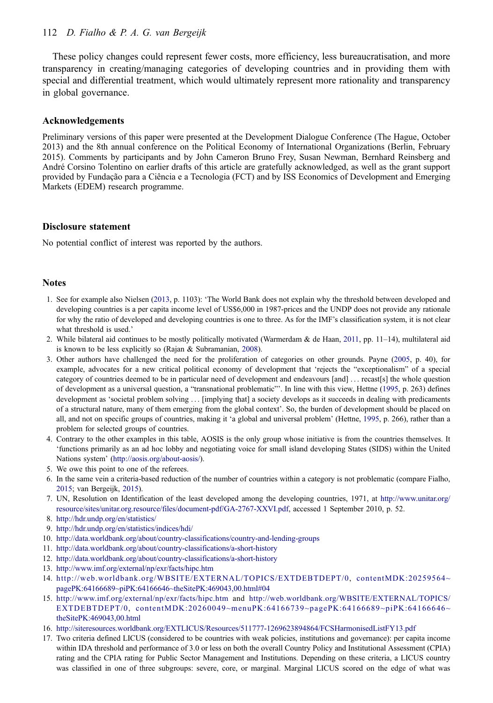<span id="page-14-0"></span>These policy changes could represent fewer costs, more efficiency, less bureaucratisation, and more transparency in creating/managing categories of developing countries and in providing them with special and differential treatment, which would ultimately represent more rationality and transparency in global governance.

#### Acknowledgements

Preliminary versions of this paper were presented at the Development Dialogue Conference (The Hague, October 2013) and the 8th annual conference on the Political Economy of International Organizations (Berlin, February 2015). Comments by participants and by John Cameron Bruno Frey, Susan Newman, Bernhard Reinsberg and André Corsino Tolentino on earlier drafts of this article are gratefully acknowledged, as well as the grant support provided by Fundação para a Ciência e a Tecnologia (FCT) and by ISS Economics of Development and Emerging Markets (EDEM) research programme.

#### Disclosure statement

No potential conflict of interest was reported by the authors.

#### Notes

- 1. See for example also Nielsen ([2013,](#page-16-0) p. 1103): 'The World Bank does not explain why the threshold between developed and developing countries is a per capita income level of US\$6,000 in 1987-prices and the UNDP does not provide any rationale for why the ratio of developed and developing countries is one to three. As for the IMF's classification system, it is not clear what threshold is used.'
- 2. While bilateral aid continues to be mostly politically motivated (Warmerdam & de Haan, [2011](#page-17-0), pp. 11–14), multilateral aid is known to be less explicitly so (Rajan & Subramanian, [2008](#page-16-0)).
- 3. Other authors have challenged the need for the proliferation of categories on other grounds. Payne [\(2005](#page-16-0), p. 40), for example, advocates for a new critical political economy of development that 'rejects the "exceptionalism" of a special category of countries deemed to be in particular need of development and endeavours [and] . . . recast[s] the whole question of development as a universal question, a "transnational problematic"'. In line with this view, Hettne ([1995,](#page-16-0) p. 263) defines development as 'societal problem solving ... [implying that] a society develops as it succeeds in dealing with predicaments of a structural nature, many of them emerging from the global context'. So, the burden of development should be placed on all, and not on specific groups of countries, making it 'a global and universal problem' (Hettne, [1995,](#page-16-0) p. 266), rather than a problem for selected groups of countries.
- 4. Contrary to the other examples in this table, AOSIS is the only group whose initiative is from the countries themselves. It 'functions primarily as an ad hoc lobby and negotiating voice for small island developing States (SIDS) within the United Nations system' [\(http://aosis.org/about-aosis/](http://aosis.org/about-aosis/)).
- 5. We owe this point to one of the referees.
- 6. In the same vein a criteria-based reduction of the number of countries within a category is not problematic (compare Fialho, [2015](#page-15-0); van Bergeijk, [2015\)](#page-17-0).
- 7. UN, Resolution on Identification of the least developed among the developing countries, 1971, at [http://www.unitar.org/](http://www.unitar.org/resource/sites/unitar.org.resource/files/document-pdf/GA-2767-XXVI.pdf) [resource/sites/unitar.org.resource/files/document-pdf/GA-2767-XXVI.pdf,](http://www.unitar.org/resource/sites/unitar.org.resource/files/document-pdf/GA-2767-XXVI.pdf) accessed 1 September 2010, p. 52.
- 8. <http://hdr.undp.org/en/statistics/>
- 9. <http://hdr.undp.org/en/statistics/indices/hdi/>
- 10. <http://data.worldbank.org/about/country-classifications/country-and-lending-groups>
- 11. <http://data.worldbank.org/about/country-classifications/a-short-history>
- 12. <http://data.worldbank.org/about/country-classifications/a-short-history>
- 13. <http://www.imf.org/external/np/exr/facts/hipc.htm>
- 14. [http://web.worldbank.org/WBSITE/EXTERNAL/TOPICS/EXTDEBTDEPT/0,](http://web.worldbank.org/WBSITE/EXTERNAL/TOPICS/EXTDEBTDEPT/0) [contentMDK:20259564~](http://contentMDK:20259564%7EpagePK:64166689%7EpiPK:64166646%7EtheSitePK:469043,00.html%2304) [pagePK:64166689~piPK:64166646~theSitePK:469043,00.html#04](http://contentMDK:20259564%7EpagePK:64166689%7EpiPK:64166646%7EtheSitePK:469043,00.html%2304)
- 15. <http://www.imf.org/external/np/exr/facts/hipc.htm> and [http://web.worldbank.org/WBSITE/EXTERNAL/TOPICS/](http://web.worldbank.org/WBSITE/EXTERNAL/TOPICS/EXTDEBTDEPT/0) [EXTDEBTDEPT/0,](http://web.worldbank.org/WBSITE/EXTERNAL/TOPICS/EXTDEBTDEPT/0) [contentMDK:20260049~menuPK:64166739~pagePK:64166689~piPK:64166646~](http://contentMDK:20260049%7EmenuPK:64166739%7EpagePK:64166689%7EpiPK:64166646%7EtheSitePK:469043,00.html) [theSitePK:469043,00.html](http://contentMDK:20260049%7EmenuPK:64166739%7EpagePK:64166689%7EpiPK:64166646%7EtheSitePK:469043,00.html)
- 16. <http://siteresources.worldbank.org/EXTLICUS/Resources/511777-1269623894864/FCSHarmonisedListFY13.pdf>
- 17. Two criteria defined LICUS (considered to be countries with weak policies, institutions and governance): per capita income within IDA threshold and performance of 3.0 or less on both the overall Country Policy and Institutional Assessment (CPIA) rating and the CPIA rating for Public Sector Management and Institutions. Depending on these criteria, a LICUS country was classified in one of three subgroups: severe, core, or marginal. Marginal LICUS scored on the edge of what was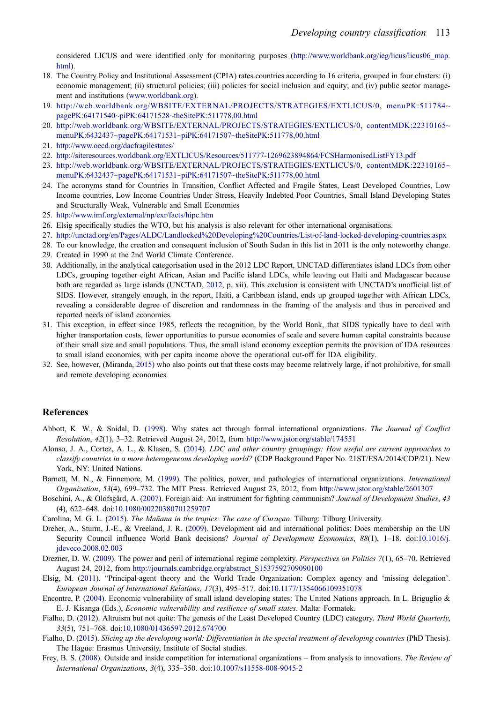<span id="page-15-0"></span>considered LICUS and were identified only for monitoring purposes (http://www.worldbank.org/ieg/licus/licus06 map. [html\)](http://www.worldbank.org/ieg/licus/licus06_map.html).

- 18. The Country Policy and Institutional Assessment (CPIA) rates countries according to 16 criteria, grouped in four clusters: (i) economic management; (ii) structural policies; (iii) policies for social inclusion and equity; and (iv) public sector management and institutions ([www.worldbank.org\)](http://www.worldbank.org).
- 19. <http://web.worldbank.org/WBSITE/EXTERNAL/PROJECTS/STRATEGIES/EXTLICUS/0>, [menuPK:511784~](http://menuPK:511784%7EpagePK:64171540%7EpiPK:64171528%7EtheSitePK:511778,00.html) [pagePK:64171540~piPK:64171528~theSitePK:511778,00.html](http://menuPK:511784%7EpagePK:64171540%7EpiPK:64171528%7EtheSitePK:511778,00.html)
- 20. [http://web.worldbank.org/WBSITE/EXTERNAL/PROJECTS/STRATEGIES/EXTLICUS/0,](http://web.worldbank.org/WBSITE/EXTERNAL/PROJECTS/STRATEGIES/EXTLICUS/0) [contentMDK:22310165~](http://contentMDK:22310165%7EmenuPK:6432437%7EpagePK:64171531%7EpiPK:64171507%7EtheSitePK:511778,00.html) [menuPK:6432437~pagePK:64171531~piPK:64171507~theSitePK:511778,00.html](http://contentMDK:22310165%7EmenuPK:6432437%7EpagePK:64171531%7EpiPK:64171507%7EtheSitePK:511778,00.html)
- 21. <http://www.oecd.org/dacfragilestates/>
- 22. <http://siteresources.worldbank.org/EXTLICUS/Resources/511777-1269623894864/FCSHarmonisedListFY13.pdf>
- 23. [http://web.worldbank.org/WBSITE/EXTERNAL/PROJECTS/STRATEGIES/EXTLICUS/0,](http://web.worldbank.org/WBSITE/EXTERNAL/PROJECTS/STRATEGIES/EXTLICUS/0) [contentMDK:22310165~](http://contentMDK:22310165%7EmenuPK:6432437%7EpagePK:64171531%7EpiPK:64171507%7EtheSitePK:511778,00.html) [menuPK:6432437~pagePK:64171531~piPK:64171507~theSitePK:511778,00.html](http://contentMDK:22310165%7EmenuPK:6432437%7EpagePK:64171531%7EpiPK:64171507%7EtheSitePK:511778,00.html)
- 24. The acronyms stand for Countries In Transition, Conflict Affected and Fragile States, Least Developed Countries, Low Income countries, Low Income Countries Under Stress, Heavily Indebted Poor Countries, Small Island Developing States and Structurally Weak, Vulnerable and Small Economies
- 25. <http://www.imf.org/external/np/exr/facts/hipc.htm>
- 26. Elsig specifically studies the WTO, but his analysis is also relevant for other international organisations.
- 27. <http://unctad.org/en/Pages/ALDC/Landlocked%20Developing%20Countries/List-of-land-locked-developing-countries.aspx>
- 28. To our knowledge, the creation and consequent inclusion of South Sudan in this list in 2011 is the only noteworthy change.
- 29. Created in 1990 at the 2nd World Climate Conference.
- 30. Additionally, in the analytical categorisation used in the 2012 LDC Report, UNCTAD differentiates island LDCs from other LDCs, grouping together eight African, Asian and Pacific island LDCs, while leaving out Haiti and Madagascar because both are regarded as large islands (UNCTAD, [2012](#page-16-0), p. xii). This exclusion is consistent with UNCTAD's unofficial list of SIDS. However, strangely enough, in the report, Haiti, a Caribbean island, ends up grouped together with African LDCs, revealing a considerable degree of discretion and randomness in the framing of the analysis and thus in perceived and reported needs of island economies.
- 31. This exception, in effect since 1985, reflects the recognition, by the World Bank, that SIDS typically have to deal with higher transportation costs, fewer opportunities to pursue economies of scale and severe human capital constraints because of their small size and small populations. Thus, the small island economy exception permits the provision of IDA resources to small island economies, with per capita income above the operational cut-off for IDA eligibility.
- 32. See, however, (Miranda, [2015](#page-16-0)) who also points out that these costs may become relatively large, if not prohibitive, for small and remote developing economies.

#### References

- Abbott, K. W., & Snidal, D. [\(1998](#page-8-0)). Why states act through formal international organizations. The Journal of Conflict Resolution, 42(1), 3–32. Retrieved August 24, 2012, from <http://www.jstor.org/stable/174551>
- Alonso, J. A., Cortez, A. L., & Klasen, S. [\(2014](#page-1-0)). LDC and other country groupings: How useful are current approaches to classify countries in a more heterogeneous developing world? (CDP Background Paper No. 21ST/ESA/2014/CDP/21). New York, NY: United Nations.
- Barnett, M. N., & Finnemore, M. ([1999\)](#page-7-0). The politics, power, and pathologies of international organizations. International Organization, 53(4), 699–732. The MIT Press. Retrieved August 23, 2012, from <http://www.jstor.org/stable/2601307>
- Boschini, A., & Olofsgård, A. [\(2007\)](#page-8-0). Foreign aid: An instrument for fighting communism? Journal of Development Studies, 43 (4), 622–648. doi:[10.1080/00220380701259707](http://dx.doi.org/10.1080/00220380701259707)
- Carolina, M. G. L. [\(2015](#page-9-0)). The Mañana in the tropics: The case of Curaçao. Tilburg: Tilburg University.
- Dreher, A., Sturm, J.-E., & Vreeland, J. R. [\(2009](#page-8-0)). Development aid and international politics: Does membership on the UN Security Council influence World Bank decisions? Journal of Development Economics, 88(1), 1–18. doi:[10.1016/j.](http://dx.doi.org/10.1016/j.jdeveco.2008.02.003) [jdeveco.2008.02.003](http://dx.doi.org/10.1016/j.jdeveco.2008.02.003)
- Drezner, D. W. ([2009\)](#page-2-0). The power and peril of international regime complexity. Perspectives on Politics 7(1), 65–70. Retrieved August 24, 2012, from [http://journals.cambridge.org/abstract\\_S1537592709090100](http://journals.cambridge.org/abstract_S1537592709090100)
- Elsig, M. ([2011](#page-8-0)). "Principal-agent theory and the World Trade Organization: Complex agency and 'missing delegation'. European Journal of International Relations, 17(3), 495–517. doi:[10.1177/1354066109351078](http://dx.doi.org/10.1177/1354066109351078)
- Encontre, P. ([2004\)](#page-10-0). Economic vulnerability of small island developing states: The United Nations approach. In L. Briguglio & E. J. Kisanga (Eds.), Economic vulnerability and resilience of small states. Malta: Formatek.
- Fialho, D. ([2012](#page-5-0)). Altruism but not quite: The genesis of the Least Developed Country (LDC) category. Third World Quarterly, 33(5), 751–768. doi:[10.1080/01436597.2012.674700](http://dx.doi.org/10.1080/01436597.2012.674700)
- Fialho, D. ([2015\)](#page-7-0). Slicing up the developing world: Differentiation in the special treatment of developing countries (PhD Thesis). The Hague: Erasmus University, Institute of Social studies.
- Frey, B. S. ([2008\)](#page-7-0). Outside and inside competition for international organizations from analysis to innovations. The Review of International Organizations, 3(4), 335–350. doi:[10.1007/s11558-008-9045-2](http://dx.doi.org/10.1007/s11558-008-9045-2)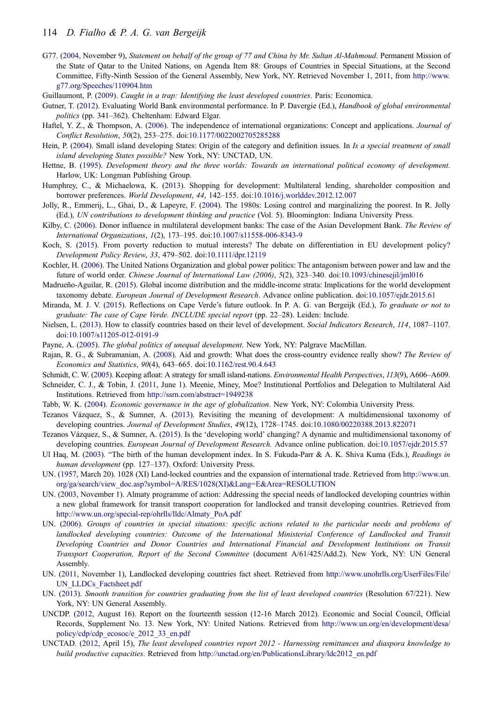- <span id="page-16-0"></span>G77. ([2004,](#page-9-0) November 9), Statement on behalf of the group of 77 and China by Mr. Sultan Al-Mahmoud. Permanent Mission of the State of Qatar to the United Nations, on Agenda Item 88: Groups of Countries in Special Situations, at the Second Committee, Fifty-Ninth Session of the General Assembly, New York, NY. Retrieved November 1, 2011, from [http://www.](http://www.g77.org/Speeches/110904.htm) [g77.org/Speeches/110904.htm](http://www.g77.org/Speeches/110904.htm)
- Guillaumont, P. ([2009\)](#page-6-0). Caught in a trap: Identifying the least developed countries. Paris: Economica.
- Gutner, T. [\(2012](#page-8-0)). Evaluating World Bank environmental performance. In P. Davergie (Ed.), Handbook of global environmental politics (pp. 341–362). Cheltenham: Edward Elgar.
- Haftel, Y. Z., & Thompson, A. [\(2006](#page-7-0)). The independence of international organizations: Concept and applications. Journal of Conflict Resolution, 50(2), 253–275. doi:[10.1177/0022002705285288](http://dx.doi.org/10.1177/0022002705285288)
- Hein, P. [\(2004\)](#page-10-0). Small island developing States: Origin of the category and definition issues. In Is a special treatment of small island developing States possible? New York, NY: UNCTAD, UN.
- Hettne, B. [\(1995](#page-14-0)). Development theory and the three worlds: Towards an international political economy of development. Harlow, UK: Longman Publishing Group.
- Humphrey, C., & Michaelowa, K. [\(2013\)](#page-8-0). Shopping for development: Multilateral lending, shareholder composition and borrower preferences. World Development, 44, 142–155. doi:[10.1016/j.worlddev.2012.12.007](http://dx.doi.org/10.1016/j.worlddev.2012.12.007)
- Jolly, R., Emmerij, L., Ghai, D., & Lapeyre, F. [\(2004\)](#page-5-0). The 1980s: Losing control and marginalizing the poorest. In R. Jolly (Ed.), UN contributions to development thinking and practice (Vol. 5). Bloomington: Indiana University Press.
- Kilby, C. ([2006\)](#page-8-0). Donor influence in multilateral development banks: The case of the Asian Development Bank. The Review of International Organizations, 1(2), 173–195. doi:[10.1007/s11558-006-8343-9](http://dx.doi.org/10.1007/s11558-006-8343-9)
- Koch, S. ([2015\)](#page-1-0). From poverty reduction to mutual interests? The debate on differentiation in EU development policy? Development Policy Review, 33, 479–502. doi:[10.1111/dpr.12119](http://dx.doi.org/10.1111/dpr.12119)
- Kochler, H. ([2006\)](#page-8-0). The United Nations Organization and global power politics: The antagonism between power and law and the future of world order. Chinese Journal of International Law (2006), 5(2), 323–340. doi:[10.1093/chinesejil/jml016](http://dx.doi.org/10.1093/chinesejil/jml016)
- Madrueño-Aguilar, R. ([2015\)](#page-3-0). Global income distribution and the middle-income strata: Implications for the world development taxonomy debate. European Journal of Development Research. Advance online publication. doi:[10.1057/ejdr.2015.61](http://dx.doi.org/10.1057/ejdr.2015.61)
- Miranda, M. J. V. [\(2015](#page-8-0)). Reflections on Cape Verde's future outlook. In P. A. G. van Bergeijk (Ed.), To graduate or not to graduate: The case of Cape Verde. INCLUDE special report (pp. 22–28). Leiden: Include.
- Nielsen, L. [\(2013](#page-1-0)). How to classify countries based on their level of development. Social Indicators Research, 114, 1087-1107. doi:[10.1007/s11205-012-0191-9](http://dx.doi.org/10.1007/s11205-012-0191-9)
- Payne, A. [\(2005](#page-14-0)). The global politics of unequal development. New York, NY: Palgrave MacMillan.
- Rajan, R. G., & Subramanian, A. [\(2008](#page-14-0)). Aid and growth: What does the cross-country evidence really show? The Review of Economics and Statistics, 90(4), 643–665. doi:[10.1162/rest.90.4.643](http://dx.doi.org/10.1162/rest.90.4.643)
- Schmidt, C. W. ([2005](#page-9-0)). Keeping afloat: A strategy for small island-nations. Environmental Health Perspectives, 113(9), A606–A609.
- Schneider, C. J., & Tobin, J. [\(2011,](#page-7-0) June 1). Meenie, Miney, Moe? Institutional Portfolios and Delegation to Multilateral Aid Institutions. Retrieved from <http://ssrn.com/abstract=1949238>
- Tabb, W. K. [\(2004](#page-8-0)). *Economic governance in the age of globalization*. New York, NY: Colombia University Press.
- Tezanos Vázquez, S., & Sumner, A. [\(2013](#page-1-0)). Revisiting the meaning of development: A multidimensional taxonomy of developing countries. Journal of Development Studies, 49(12), 1728–1745. doi:[10.1080/00220388.2013.822071](http://dx.doi.org/10.1080/00220388.2013.822071)
- Tezanos Vázquez, S., & Sumner, A. [\(2015](#page-1-0)). Is the 'developing world' changing? A dynamic and multidimensional taxonomy of developing countries. European Journal of Development Research. Advance online publication. doi:[10.1057/ejdr.2015.57](http://dx.doi.org/10.1057/ejdr.2015.57)
- Ul Haq, M. [\(2003](#page-5-0)). "The birth of the human development index. In S. Fukuda-Parr & A. K. Shiva Kuma (Eds.), Readings in human development (pp. 127-137). Oxford: University Press.
- UN. ([1957](#page-9-0), March 20). 1028 (XI) Land-locked countries and the expansion of international trade. Retrieved from [http://www.un.](http://www.un.org/ga/search/view_doc.asp?symbol=A/RES/1028(XI)%26Lang=E%26Area=RESOLUTION) [org/ga/search/view\\_doc.asp?symbol=A/RES/1028\(XI\)&Lang=E&Area=RESOLUTION](http://www.un.org/ga/search/view_doc.asp?symbol=A/RES/1028(XI)%26Lang=E%26Area=RESOLUTION)
- UN. (2003, November 1). Almaty programme of action: Addressing the special needs of landlocked developing countries within a new global framework for transit transport cooperation for landlocked and transit developing countries. Retrieved from [http://www.un.org/special-rep/ohrlls/lldc/Almaty\\_PoA.pdf](http://www.un.org/special-rep/ohrlls/lldc/Almaty_PoA.pdf)
- UN. (2006). Groups of countries in special situations: specific actions related to the particular needs and problems of landlocked developing countries: Outcome of the International Ministerial Conference of Landlocked and Transit Developing Countries and Donor Countries and International Financial and Development Institutions on Transit Transport Cooperation, Report of the Second Committee (document A/61/425/Add.2). New York, NY: UN General Assembly.
- UN. [\(2011](#page-9-0), November 1), Landlocked developing countries fact sheet. Retrieved from [http://www.unohrlls.org/UserFiles/File/](http://www.unohrlls.org/UserFiles/File/UN_LLDCs_Factsheet.pdf) [UN\\_LLDCs\\_Factsheet.pdf](http://www.unohrlls.org/UserFiles/File/UN_LLDCs_Factsheet.pdf)
- UN. ([2013](#page-6-0)). Smooth transition for countries graduating from the list of least developed countries (Resolution 67/221). New York, NY: UN General Assembly.
- UNCDP. [\(2012](#page-5-0), August 16). Report on the fourteenth session (12-16 March 2012). Economic and Social Council, Official Records, Supplement No. 13. New York, NY: United Nations. Retrieved from [http://www.un.org/en/development/desa/](http://www.un.org/en/development/desa/policy/cdp/cdp_ecosoc/e_2012_33_en.pdf) [policy/cdp/cdp\\_ecosoc/e\\_2012\\_33\\_en.pdf](http://www.un.org/en/development/desa/policy/cdp/cdp_ecosoc/e_2012_33_en.pdf)
- UNCTAD. [\(2012](#page-15-0), April 15), The least developed countries report 2012 Harnessing remittances and diaspora knowledge to build productive capacities. Retrieved from http://unctad.org/en/PublicationsLibrary/Idc2012\_en.pdf